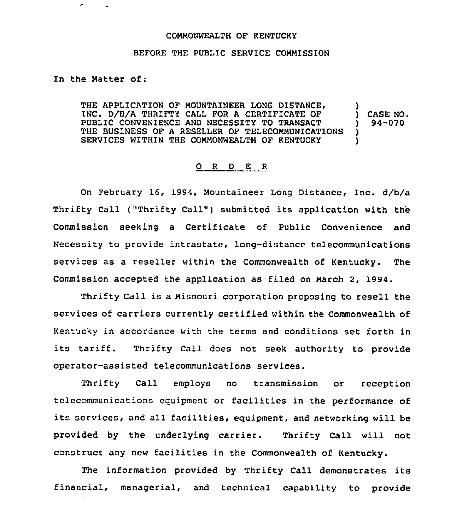## COMMONWEALTH OF KENTUCKY

## BEFORE THE PUBLIC SERVICE COMMISSION

In the Matter of:

 $\ddot{\phantom{a}}$ 

THE APPLICATION OF MOUNTAINEER LONG DISTANCE, INC. D/B/A THRIFTY CALL FOR <sup>A</sup> CERTIFICATE OF PUBLIC CONVENIENCE AND NECESSITY TO TRANSACT THE BUSINESS OF A RESELLER OF TELECOMMUNICATIONS SERVICES WITHIN THE COMMONWEALTH OF KENTUCKY ) ) )

) CASE NO. ) 94-070

## 0 <sup>R</sup> <sup>D</sup> E <sup>R</sup>

On February 16, 1994, Mountaineer Long Distance, lnc. d/b/a Thrifty Call ("Thrifty Call") submitted its application with the Commission seeking a Certificate of Public Convenience and Necessity to provide intrastate, long-distance telecommunications services as a reseller within the Commonwealth of Kentucky. The Commission accepted the application as filed on March 2, 1994.

Thrifty Call is a Missouri corporation proposing to resell the services of carriers currently certified within the Commonwealth of Kentucky in accordance with the terms and conditions set forth in its tariff. Thrifty Call does not seek authority to provide operator-assisted telecommunications services.

Thrifty Call employs no transmission or reception telecommunications equipment or facilities in the performance of its services, and all facilities, equipment, and networking will be provided by the underlying carrier. Thrifty Call will not construct any new facilities in the Commonwealth of Kentucky.

The information provided by Thrifty Call demonstrates its financial, managerial, and technical capability to provide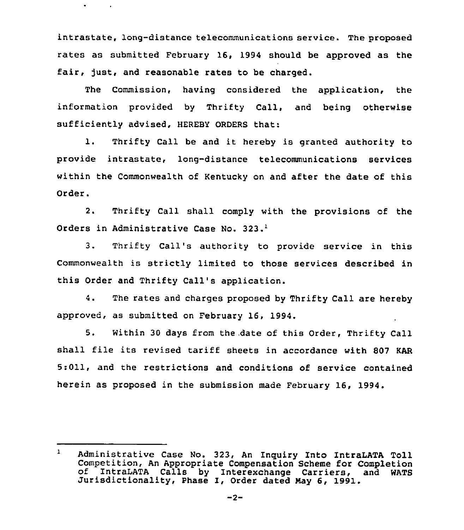intrastate, long-distance telecommunications service. The proposed rates as submitted February 16, 1994 should be approved as the fair, just, and reasonable rates to be charged.

The Commission, having considered the application, the information provided by Thrifty Call, and being otherwise sufficiently advised, HEREBY ORDERS that:

1. Thrifty Call be and it hereby is granted authority to provide intrastate, long-distance telecommunications services within the Commonwealth of Kentucky on and after the date of this Order.

2. Thrifty Call shall comply with the provisions of the Orders in Administrative Case No. 323.<sup>1</sup>

 $3.$ Thrifty Call's authority to provide service in this Commonwealth is strictly limited to those services described in this Order and Thrifty Call's application.

4. The rates and charges proposed by Thrifty Call are hereby approved, as submitted on February 16, 1994.

5. Within 30 days from the. date of this Order, Thrifty Call shall file its revised tariff sheets in accordance with 807 KAR 5:011, and the restrictions and conditions of service contained herein as proposed in the submission made February 16, 1994.

 $\mathbf{1}$ Administrative Case No. 323, An Inquiry Into IntraLATA Toll Competition, An Appropriate Compensation Scheme for Completion of IntraLATA Calls by Interexchange Carriers, and WATS Jurisdictionality, Phase I, Order dated May 6, 1991.